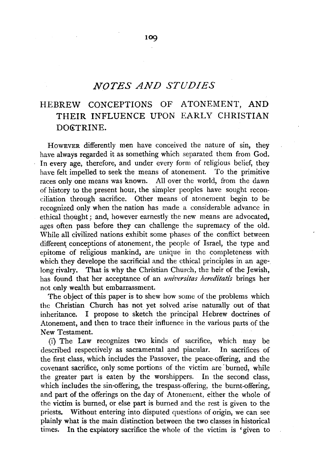# *NOTES AND STUDIES*

# HEBREW CONCEPTIONS OF ATONEMENT, AND THEIR INFLUENCE UPON EARLY CHRISTIAN DOGTRINE.

HowEVER differently men have conceived the nature of sin, they have always regarded it as something which separated them from God. In every age, therefore, and under every form of religious belief, they have felt impelled to seek the means of atonement. To the primitive races only one means was known. All over the world, from the dawn of history to the present hour, the simpler peoples have sought reconciliation through sacrifice. Other means of atonement begin to be recognized only when the nation has made a considerable advance in ethical thought; and, however earnestly the new means are advocated, ages often pass before they can challenge the supremacy of the old. While all civilized nations exhibit some phases of the conflict between different conceptions of atonement, the people of Israel, the type and epitome of religious mankind, are unique in the completeness with which they develope the sacrificial and the ethical principles in an agelong rivalry. That is why the Christian Church, the heir of the Jewish, has found that her acceptance of an *universitas hereditatis* brings her not only wealth but embarrassment.

The object of this paper is to shew how some of the problems which the Christian Church has not yet solved arise naturally out of that inheritance. I propose to sketch the principal Hebrew doctrines of Atonement, and then to trace their influence in the various parts of the New Testament.

(i) The Law recognizes two kinds of sacrifice, which may be described respectively as sacramental and piacular. In sacrifices of the first class, which includes the Passover, the peace-offering, and the covenant sacrifice, only some portions of the victim are burned, while the greater part is eaten by the worshippers. In the second class, which includes the sin-offering, the trespass-offering, the burnt-offering, and part of the offerings on the day of Atonement, either the whole of the victim is burned, or else part is burned and the rest is given to the priests. Without entering into disputed questions of origin, we can see plainly what is the main distinction between the two classes in historical times. In the expiatory sacrifice the whole of the victim is 'given to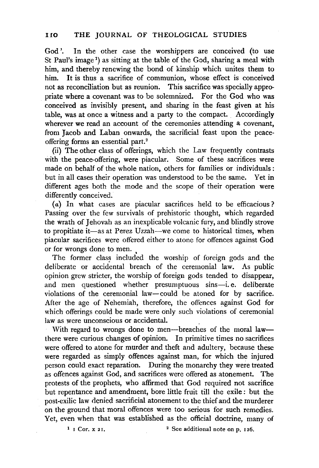God'. In the other case the worshippers are conceived (to use St Paul's image<sup>1</sup>) as sitting at the table of the God, sharing a meal with him, and thereby renewing the bond of kinship which unites them to him. It is thus a sacrifice of communion, whose effect is conceived not as reconciliation but as reunion. This sacrifice was specially appropriate where a covenant was to be solemnized. For the God who was conceived as invisibly present, and sharing in the feast given at his table, was at once a witness and a party to the compact. Accordingly wherever we read an account of the ceremonies attending a covenant. from Jacob and Laban onwards, the sacrificial feast upon the peaceoffering forms an essential part.<sup>2</sup>

(ii) The other class of offerings, which the Law frequently contrasts with the peace-offering, were piacular. Some of these sacrifices were made on behalf of the whole nation, others for families or individuals : but in all cases their operation was understood to be the same. Yet in different ages both the mode and the scope of their operation were differently conceived.

(a) In what cases are piacular sacrifices held to be efficacious? Passing over the few survivals of prehistoric thought, which regarded the wrath of Jehovah as an inexplicable volcanic fury, and blindly strove to propitiate it—as at Perez Uzzah—we come to historical times, when piacular sacrifices were offered either to atone for offences against God or for wrongs done to men.

The former class included the worship of foreign gods and the deliberate or accidental breach of the ceremonial law. As public opinion grew stricter, the worship of foreign gods tended to disappear, and men questioned whether presumptuous sins-i.e. deliberate violations of the ceremonial law-could be atoned for by sacrifice. After the age of Nehemiah, therefore, the offences against God for which offerings could be made were only such violations of ceremonial law as were unconscious or accidental.

With regard to wrongs done to men-breaches of the moral lawthere were curious changes of opinion. In primitive times no sacrifices were offered to atone for murder and theft and adultery, because these were regarded as simply offences against man, for which the injured person could exact reparation. During the monarchy they were treated as offences against God, and sacrifices were offered as atonement. The protests of the prophets, who affirmed that God required not sacrifice but repentance and amendment, bore little fruit till the exile : but the post-exilic law denied sacrificial atonement to the thief and the murderer on the ground that moral offences were too serious for such remedies. Yet, even when that was established as the official doctrine, many of

<sup>1</sup> I Cor. x 21. <sup>2</sup> See additional note on p. 126.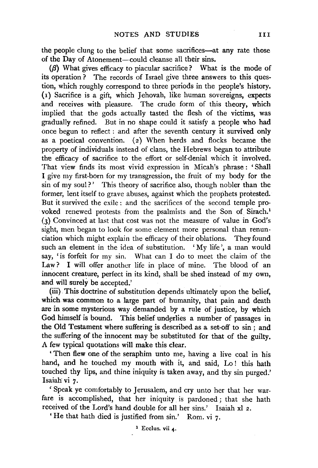the people clung to the belief that some sacrifices—at any rate those of the Day of Atonement-could cleanse all their sins.

 $(\beta)$  What gives efficacy to piacular sacrifice? What is the mode of its operation ? The records of Israel give three answers to this question, which roughly correspond to three periods in the people's history. (r) Sacrifice is a gift, which Jehovah, like human sovereigns, expects and receives with pleasure. The crude form of this theory, which implied that the gods actually tasted the flesh of the victims, was gradually refined. But in no shape could it satisfy a people who had once begun to reflect : and after the seventh century it survived only as a poetical convention.  $(2)$  When herds and flocks became the property of individuals instead of clans, the Hebrews began to attribute the efficacy of sacrifice to the effort or self-denial which it involved. That view finds its most vivid expression in Micah's phrase : 'Shall I give my first-born for my transgression, the fruit of my body for the sin of my soul?' This theory of sacrifice also, though nobler than the former, lent itself to grave abuses, against which the prophets protested. But it survived the exile : and the sacrifices of the second temple provoked renewed protests from the psalmists and the Son of Sirach.<sup>1</sup> (3) Convinced at last that cost was not the measure of value in God's sight, men began to look for some element more personal than renunciation which might explain the efficacy of their oblations. They found such an element in the idea of substitution. 'My life', a man would say, ' is forfeit for my sin. What can I do to meet the claim of the Law? I will offer another life in place of mine. The blood of an innocent creature, perfect in its kind, shall be shed instead of my own, and will surely be accepted.'

(iii) This doctrine of substitution depends ultimately upon the belief, which was common to a large part of humanity, that pain and death are in some mysterious way demanded by a rule of justice, by which God himself is bound. This belief underlies a number of passages in the Old Testament where suffering is described as a set-off to sin; and the suffering of the innocent may be substituted for that of the guilty. A few typical quotations will make this clear.

<sup>1</sup>Then flew one of the seraphim unto me, having a live coal in his hand, and he touched my mouth with it, and said, Lo! this hath touched thy lips, and thine iniquity is taken away, and thy sin purged.' Isaiah vi 7·

'Speak ye comfortably to Jerusalem, and cry unto her that her warfare is accomplished, that her iniquity is pardoned ; that she bath received of the Lord's hand double for all her sins.' Isaiah xl 2.

<sup>1</sup>He that hath died is justified from sin.' Rom. vi 7.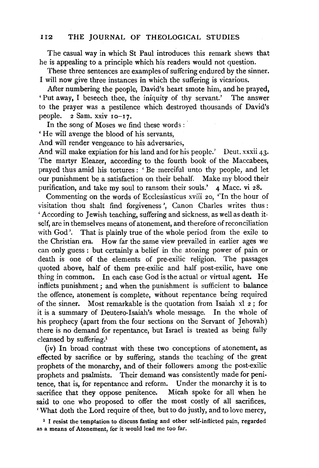The casual way in which St Paul introduces this remark shews that he is appealing to a principle which his readers would not question.

These three sentences are examples of suffering endured by the sinner. I will now give three instances in which the suffering is vicarious.

After numbering the people, David's heart smote him, and he prayed, 'Put away, I beseech thee, the iniquity of thy servant.' The answer to the prayer was a pestilence which destroyed thousands of David's people.  $2$  Sam. xxiv  $10-17$ .  $2$  Sam. xxiv  $10-17$ .

In the song of Moses we find these words :

' He will avenge the blood of his servants,

And will render vengeance to his adversaries,

And will make expiation for his land and for his people.' Deut. xxxii 43. The martyr Eleazer, according to the fourth book of the Maccabees, prayed thus amid his tortures : ' Be merciful unto thy people, and let our punishment be a satisfaction on their behalf. Make my blood their purification, and take my soul to ransom their souls.' 4 Macc. vi 28.

Commenting on the words of Ecclesiasticus xviii 20, ''In the hour of visitation thou shalt find forgiveness', Canon Charles writes thus: 'According to Jewish teaching, suffering and sickness, as well as death itself, are in themselves means of atonement, and therefore of reconciliation with God'. That is plainly true of the whole period from the exile to the Christian era. How far the same view prevailed in earlier ages we can only guess : but certainly a belief in the atoning power of pain or death is one of the elements of pre-exilic religion. The passages quoted above, half of them pre-exilic and half post-exilic, have one thing in common. In each case God is the actual or virtual agent. He inflicts punishment; and when the punishment is sufficient to balance the offence, atonement is complete, without repentance being required of the sinner. Most remarkable is the quotation from Isaiah xl 2 ; for it is a summary of Deutero-Isaiah's whole message. In the whole of his prophecy (apart from the four sections on the Servant of Jehovah) there is no demand for repentance, but Israel is treated as being fully cleansed by suffering.1

(iv) In broad contrast with these two conceptions of atonement, as effected by sacrifice or by suffering, stands the teaching of the great prophets of the monarchy, and of their followers among the post-exilic prophets and psalmists. Their demand was consistently made for penitence, that is, for repentance and reform. Under the monarchy it is to sacrifice that they oppose penitence. Micah spoke for all when he said to one who proposed to offer the most costly of all sacrifices, ' What doth the Lord require of thee, but to do justly, and to love mercy,

<sup>1</sup> I resist the temptation to discuss fasting and other self-inflicted pain, regarded as a means of Atonement, for it would lead me too far.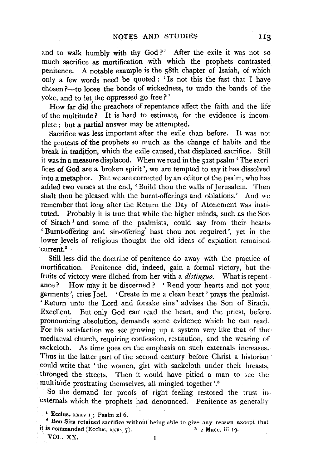and to walk humbly with thy God?' After the exile it was not so much sacrifice as mortification with which the prophets contrasted penitence. A notable example is the 58th chapter of Isaiah, of which only a few words need be quoted : 'Is not this the fast that I have chosen ?- to loose the bonds of wickedness, to undo the bands of the yoke, and to let the oppressed go free ? '

How far did the preachers of repentance affect the faith and the life of the multitude? It is hard to estimate, for the evidence is incomplete: but a partial answer may be attempted.

Sacrifice was less important after the exile than before. It was not the protests of the prophets so much as the change of habits and the break in tradition, which the exile caused, that displaced sacrifice. Still it was in a measure displaced. When we read in the 51st psalm 'The sacrifices of God are a broken spirit', we are tempted to say it has dissolved into a metaphor. But we are corrected by an editor o{ the psalm, who has added two verses at the end, 'Build thou the walls of Jerusalem. Then shalt thou be pleased with the burnt-offerings and oblations.' And we remember that long after the Return the Day of Atonement was instituted. Probably it is true that while the higher minds, such as the Son of Sirach<sup>1</sup> and some of the psalmists, could say from their hearts-' Burnt-offering and sin-offering' hast thou not required', yet in the lower levels of religious thought the old ideas of expiation remained current.2

Still less did the. doctrine of penitence do away with the practice of mortification. Penitence did, indeed, gain a formal victory, but the fruits of victory were filched from her with a *distinguo.* What is repent-. ance? How may it be discerned? ' Rend your hearts and not your garments', cries Joel. 'Create in me a clean heart' prays the psalmist.' ' Return unto the Lord and forsake sins ' advises the Son of Sirach. Excellent. But only God can read the heart, and the priest, before pronouncing absolution, demands some evidence which he can read. For his satisfaction we see growing up a system very like that of the: mediaeval church, requiring confession, restitution, and the wearing of sackcloth. As time goes on the emphasis on such externals increases. Thus in the latter part of the second century before Christ a historian could write that 'the women, girt with sackcloth under their breasts, thronged the streets. Then it would have pitied a man to see the multitude prostrating themselves, all mingled together '.<sup>3</sup>

So the demand for proofs of right feeling restored the trust in externals which the prophets had denounced. Penitence as generally

VOL. XX.

<sup>&</sup>lt;sup>1</sup> Ecclus. xxxv 1; Psalm xl 6. 2  $P$  Ben Sira retained sacrifice without being able to give any reason except that it is commanded (Ecclus. xxxv  $7$ ).  $3 \t2 \text{ Macc.}$  iii 19.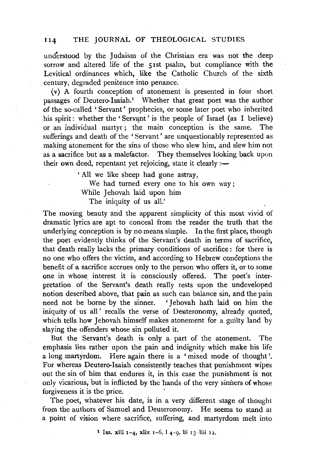#### I 14 THE JOURNAL OF THEOLOGICAL STUDIES

understood by the Judaism of the Christian era was not the deep sorrow and altered life of the 51st psalm, but compliance with the Levitical ordinances which, like the Catholic Church of the sixth century, degraded penitence into penance.

(v) A fourth conception of atonement is presented in four short passages of Deutero-Isaiah.<sup>1</sup> Whether that great poet was the author of the so-called ' Servant' prophecies, or some later poet who inherited his spirit: whether the 'Servant' is the people of Israel (as I believe) or an individual martyr ; the main conception is the same. The sufferings and death of the 'Servant' are unquestionably represented as making atonement for the sins of those who slew him, and slew him not as a sacrifice but as a malefactor. They themselves looking back upon their own deed, repentant yet rejoicing, state it clearly :—

'All we like sheep had gone astray,

We had turned every one to his own way; While Jehovah laid upon him

The iniquity of us all.'

The moving beauty and the apparent simplicity of this most vivid of dramatic lyrics are apt to conceal from the reader the truth that the underlying conception is by no means simple. In the first place, though the poet evidently thinks of the Servant's death in terms of sacrifice, that death really lacks the primary conditions of sacrifice: for there is no one who offers the victim, and according to Hebrew conceptions the benefit of a sacrifice accrues only to the person who offers it, or to some one in whose interest it is consciously offered. The poet's interpretation of the Servant's death really rests upon the undeveloped notion described above, that pain as such can balance sin, and the pain need not be borne by the sinner. 'Jehovah hath laid on him the iniquity of us all' recalls the verse of Deuteronomy, already quoted, which tells how Jehovah himself makes atonement for a guilty land by slaying the offenders whose sin polluted it.

But the Servant's death is only a part of the atonement. The emphasis lies rather upon the pain and indignity which make his life a long martyrdom. Here again there is a 'mixed mode of thought'. For whereas Deutero-Isaiah consistently teaches that punishment wipes out the sin of him that endures it, in this case the punishment is not only vicarious, but is inflicted by the hands of the very sinners of whose forgiveness it is the price.

The poet, whatever his date, is in a very different stage of thought from the authors of Samuel and Deuteronomy. He seems to stand at a point of vision where sacrifice, suffering, and. martyrdom melt into

<sup>1</sup> Isa. xlii 1-4, xlix 1-6, 1 4-9, lii 13-liii 12.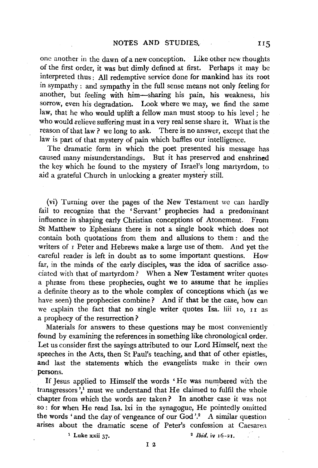one another in the dawn of a new conception. Like other new thoughts of the first order, it was but dimly defined at first. Perhaps it may be interpreted thus : All redemptive service done for mankind has its root in sympathy : and sympathy in the full sense means not only feeling for another, but feeling with him-sharing his pain, his weakness, his sorrow, even his degradation. Look where we may, we find the same law, that he who would uplift a fellow man must stoop to his level; he who would relieve suffering must in a very real sense share it. What is the reason of that law? we long to ask. There is no answer, except that the law is part of that mystery of pain which baffles our intelligence.

The dramatic form in which the poet presented his message has caused many misunderstandings. But it has preserved and enshrined the key which he found to the mystery of Israel's long martyrdom, to aid a grateful Church in unlocking a greater mystery still.

(vi) Turning over the pages of the New Testament we can hardly fail to recognize that the 'Servant' prophecies had a predominant influence in shaping early Christian conceptions of Atonement. From St Matthew to Ephesians there is not a single book which does not contain both quotations from them and allusions to them : and the writers of r Peter and Hebrews make a large use of them. And yet the careful reader is left in doubt as to some important questions. How far, in the minds of the early disciples, was the idea of sacrifice associated with that of martyrdom? When a New Testament writer quotes a phrase from these prophecies, ought we to assume that he implies a definite theory as to the whole complex of conceptions which (as we have seen) the prophecies combine? And if that be the case, how can we explain the fact that no single writer quotes Isa. liii 10, 11 as a prophecy of the resurrection ?

Materials for answers to these questions may be most conveniently found by examining the references in something like chronological order. Let us consider first the sayings attributed to our Lord Himself, next the speeches in the Acts, then St Paul's teaching, and that of other epistles, and last the statements which the evangelists make in their own persons.

If Jesus applied to Himself the words 'He was numbered with the transgressors',<sup>1</sup> must we understand that He claimed to fulfil the whole chapter from which the words are taken ? In another case it was not so : for when He read Isa.  $lxi$  in the synagogue, He pointedly omitted the words ' and the day of vengeance of our  $God$   $2^2$  A similar question arises about the dramatic scene of Peter's confession at Caesarea

<sup>1</sup> Luke xxii 37.  $2 \text{ Ibid. iv } 16-21$ .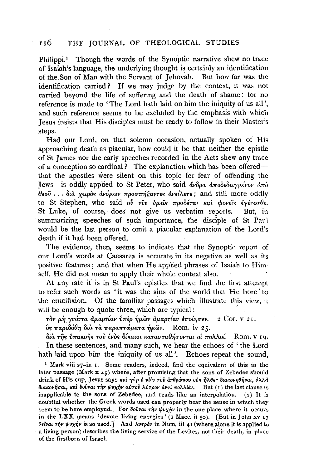#### <sup>I</sup>16 THE JOURNAL OF THEOLOGICAL STUDIES

Philippi.<sup>1</sup> Though the words of the Synoptic narrative shew no trace of Isaiah's language, the underlying thought is certainly an identification Isalah's language, the underlying mought is certainly an identification<br>the Son of Man with the Servant of Jehovah. But how far was the<br>entification carried ? If we may judge by the context, it was not identification carried? If we may judge by the context, it was not carried beyond the life of suffering and the death of shame: for no reference is made to 'The Lord hath laid on him the iniquity of us all', and such reference seems to be excluded by the emphasis with which Jesus insists that His disciples must be ready to follow in their Master's steps.

Had our Lord, on that solemn occasion, actually spoken of His approaching death as piacular, how could it be that neither the epistle of St James nor the early speeches recorded in the Acts shew any trace of a conception so cardinal? The explanation which has been offeredthat the apostles were silent on this topic for fear of offending the Jews--is oddly applied to St Peter, who said  $\frac{d}{dx}a_{\rho\alpha}$   $\frac{d}{dx}a_{\rho\beta}e_{\alpha}e_{\gamma\mu}\omega_{\nu}$   $\frac{d}{dx}\delta$  $\theta$ εού ... διà χειρòs ανόμων προσπήξαντες ανείλετε; and still more oddly to St Stephen, who said ού νύν ύμείς προδόται και φονείς έγένεσθε. St Luke, of course, does not give us verbatim reports. But, in summarizing speeches of such importance, the disciple of St Paul would be the last person to omit a piacular explanation of the Lord's death if it had been offered.

The evidence, then, seems to indicate that the Synoptic report of our Lord's words at Caesarea is accurate in its negative as well as its positive features; and that when He applied phrases of Isaiah to Himself, He did not mean to apply their whole context also.

At any rate it is in St Paul's epistles that we find the first attempt to refer such words as 'it was the sins of the world that He bore' to the crucifixion. Of the familiar passages which illustrate this view, it e crucinxion. Of the familiar passages which illustrate this Will be enough to quote three, which are typical:<br>  $\tau \partial v \mu \dot{\eta}$  γνόντα διμαρτίαν  $\bar{v} \pi \partial \rho \dot{\eta} \mu \partial \nu$  διμαρτίαν εποίησεν. 2 Cor. v 21.

 $\delta$ <sub>5</sub> παρεδόθη δια τα παραπτώματα ήμων. Rom. iv 25.

 $\delta\hat{\alpha}$  της υπακοής του ένος δίκαιοι κατασταθήσονται οι πολλοί. Rom. v 19. In these sentences, and many such, we hear the echoes of ' the Lord bath laid upon him the iniquity of us all'. Echoes repeat the sound,

 $\frac{1}{16}$  Mark viii  $\frac{1}{16}$  r. Some readers, indeed. find the equivalent of the equivalent of this indeed.  $\frac{1}{2}$  mark viii  $\frac{2}{7}$ -1x 1. Some readers, indeed, and the equivalent of this in the later passage (Mark x 45) where, after promising that the sons of Zebedee should drink of His cup, Jesus says και γάρ ο *υίος του ανθρώπου ούκ ήλθεν διακονηθήναι*, άλλα διακονήσαι, και δούναι την ψυχην αυτού λύτρον αντι πολλών. But (1) the last clause is inapplicable to the sons of Zebedee, and reads like an interpolation.  $(2)$  It is doubtful whether the Greek words used can properly bear the sense in which they uptiul whether the Greek words used can properly bear the sense in which they in to be here employed. For down  $\tau \eta \nu \psi \chi \eta \nu$  in the one place where it occurs. in the LXX means 'devote living energies' (*I Macc.* ii 50). [But in John xv 13  $\theta \epsilon \hat{i}$ vai  $\tau \hat{\eta} \nu \psi \nu \chi \hat{\eta} \nu$  is so used. And  $\lambda \nu \tau \rho \acute{\sigma} \nu$  in Num, iii 41 (where alone it is applied to a living person) describes the living service of the Levites, not their death, in place of the firstborn of Israel.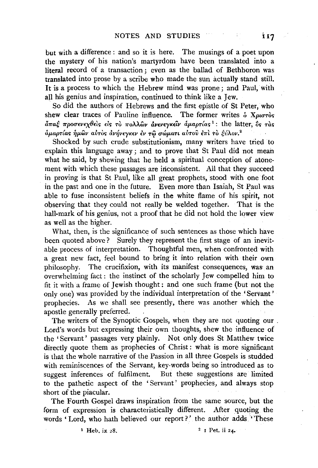but with a difference : and so it is here. The musings of a poet upon the mystery of his nation's martyrdom have been translated into a literal record of a transaction ; even as the ballad of Bethhoron was translated into prose by a scribe who made the sun actually stand still. It is a process to which the Hebrew mind was prone; and Paul, with all his genius and inspiration, continued to think like a Jew.

So did the authors of Hebrews and the first epistle of St Peter, who shew clear traces of Pauline influence. The former writes  $\delta X_{\text{out}}$  $\frac{\partial}{\partial \pi} \alpha \xi$  προσενεχθείς είς τὸ πολλῶν ἀνενεγκεῖν ἀμαρτίας<sup>1</sup>: the latter, δς τὰς *aμαρτίας ήμων αυτος ανήνεγκεν εν τω σώματι αυτού επι το ξύλον.<sup>2</sup>* 

Shocked by such crude substitutionism, many writers have tried to explain this language away; and to prove that St Paul did not mean what he said, by shewing that he held a spiritual conception of atonement with which these passages are inconsistent. All that they succeed in proving is that St Paul, like all great prophets, stood with one foot in the past and one in the future. Even more than Isaiah, St Paul was able to fuse inconsistent beliefs in the white flame of his spirit, not observing that they could not really be welded together. That is the hall-mark of his genius, not a proof that he did not hold the lower view as well as the higher.

What, then, is the significance of such sentences as those which have been quoted above? Surely they represent the first stage of an inevitable process of interpretation. Thoughtful men, when confronted with a great new fact, feel bound to bring it into relation with their own philosophy. The crucifixion, with its manifest consequences, was an overwhelming fact : the instinct of the scholarly Jew compelled him to fit it with a frame of Jewish thought: and one such frame (but not the only one) was provided by the individual interpretation of the 'Servant ' prophecies. As we shall see presently, there was another which the apostle generally preferred.

The writers of the Synoptic Gospels, when they are not quoting our , Lord's words but expressing their own thoughts, shew the influence of the 'Servant' passages very plainly. Not only does St Matthew twice directly quote them as prophecies of Christ: what is more significant is that the whole narrative of the Passion in all three Gospels is studded with reminiscences of the Servant, key-words being so introduced as to suggest inferences of fulfilment. But these suggestions are limited to the pathetic aspect of the 'Servant' prophecies, and always stop short of the piacular.

The Fourth Gospel draws inspiration from the same source, but the form of expression is characteristically different. After quoting the words 'Lord, who hath believed our report?' the author adds 'These

 $1 \text{ Heb. is } 28.$   $2 \text{ I Pet. ii } 24.$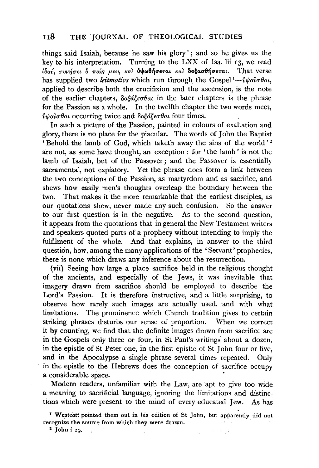things said Isaiah, because he saw his glory'; and so he gives us the key to his interpretation. Turning to the LXX of Isa. lii 13, we read iδού, συνήσει δ<sup>΄</sup> παίς μου, και ύψωθήσεται και δοξασθήσεται. That verse has supplied two *leitmotivs* which run through the Gospel<sup>1</sup>— $\partial \psi$  $\partial \partial \theta$ *at*, applied to describe both the crucifixion and the ascension, is the note of the earlier chapters,  $\delta$ o $\acute{\epsilon}$ d $\acute{\epsilon}$ co $\theta$ at in the later chapters is the phrase for the Passion as a whole. In the twelfth chapter the two words meet,  $\hat{v}$ *vo* $\hat{v}$  $\sigma \hat{\theta}$ *at* occurring twice and  $\delta$ *o* $\hat{\epsilon}$ *á* $\hat{\epsilon}$ *e* $\sigma \hat{\theta}$ *at* four times.

In such a picture of the Passion, painted in colours of exaltation and glory, there is no place for the piacular. The words of John the Baptist 'Behold the lamb of God, which taketh away the sins of the world'<sup>2</sup> are not, as some have thought, an exception : for 'the lamb' is not the lamb of Isaiah, but of the Passover; and the Passover is essentially sacramental, not expiatory. Yet the phrase does form a link between the two conceptions of the Passion, as martyrdom and as sacrifice, and shews how easily men's thoughts overleap the boundary between the two. That makes it the more remarkable that the earliest disciples, as our quotations shew, never made any such confusion. So the answer to our first question is in the negative. As to the second question, it appears from the quotations that in general the New Testament writers and speakers quoted parts of a prophecy without intending to imply the fulfilment of the whole. And that explains, in answer to the third question, how, among the many applications of the 'Servant' prophecies, there is none which draws any inference about the resurrection.

(vii) Seeing how large a place sacrifice held in the religious thought of the ancients, and especially of the Jews, it was inevitable that imagery drawn from sacrifice should be employed to describe the Lord's Passion. It is therefore instructive, and a little surprising, to observe how rarely such images are actually used, and with what limitations. The prominence which Church tradition gives to certain striking phrases disturbs our sense of proportion. When we correct it by counting, we find that the definite images drawn from sacrifice are in the Gospels only three or four, in St Paul's writings about a dozen, in the epistle of St Peter one, in the first epistle of St John four or five, and in the Apocalypse a single phrase several times repeated. Only in the epistle to the Hebrews does the conception of sacrifice occupy a considerable space. •

Modern readers, unfamiliar with the Law, are apt to give too wide a meaning to sacrificial language, ignoring the limitations and distinctions which were present to the mind of every educated Jew. As has

Ψł

<sup>&</sup>lt;sup>1</sup> Westcott pointed them out in his edition of St John, but apparently did not recognize the source from which they were drawn.

 $2$  John i 20.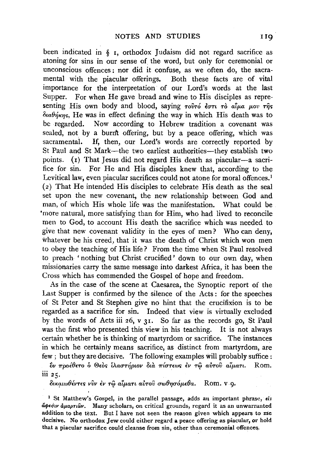been indicated in § r, orthodox Judaism did not regard sacrifice as atoning for sins in our sense of the word, but only for ceremonial or unconscious offences : nor did it confuse, as we often do, the sacramental with the piacular offerings. Both these facts are of vital importance for the interpretation of our Lord's words at the last Supper. For when He gave bread and wine to His disciples as representing His own body and blood, saying  $\tau$ ov $\tau$ <sup>o</sup> *d*ort  $\tau$ <sup>o</sup> *atha hov*  $\tau$  $\hat{\eta}$ s  $\delta u \theta \eta \kappa \eta s$ , He was in effect defining the way in which His death was to be regarded. Now according to Hebrew tradition a covenant was sealed, not by a burn't offering, but by a peace offering, which was sacramental. If, then, our Lord's words are correctly reported by St Paul and St Mark-the two earliest authorities-they establish two points. (r) That Jesus did not regard His death as piacular-a sacrifice for sin. For He and His disciples knew that, according to the Levitical law, even piacular sacrifices could not atone for moral offences.<sup>1</sup> ( 2) That He intended His disciples to celebrate His death as the seal set upon the new covenant, the new relationship between God and man, of which His whole life was the manifestation. What could be 'more natural, more satisfying than for Him, who had lived to reconcile men to God, to account His death the sacrifice which was needed to give that new covenant validity in the eyes of men? Who can deny, whatever be his creed, that it was the death of Christ which won men to obey the teaching of His life? From the time when St Paul resolved to preach 'nothing but Christ crucified' down to our own day, when missionaries carry the same message into darkest Africa, it has been the Cross which has commended the Gospel of hope and freedom.

As in the case of the scene at Caesarea, the Synoptic report of the Last Supper is confirmed by the silence of the Acts : for the speeches of St Peter and St Stephen give no hint that the crucifixion is to be regarded as a sacrifice for sin. Indeed that view is virtually excluded by the words of Acts iii 26, v 31. So far as the records go, St Paul was the first who presented this view in his teaching. It is not always certain whether he is thinking of martyrdom or sacrifice. The instances in which he certainly means sacrifice, as distinct from martyrdom, are few ; but they are decisive. The following examples will probably suffice :  $\delta$ ν προέθετο ο **®εος ίλαστήριον δια πίστεως εν τω αύτο**υ αίματι. Rom.

 $iii$  25.

*OtKf!-tw()£vT£> vvv iv* T<() *aZJLaTt* a~Tov *uw{)1J<TOJLE{)a.* Rom. v 9•

<sup>1</sup> St Matthew's Gospel, in the parallel passage, adds an important phrase, els apediv apapriwv. Many scholars, on critical grounds, regard it as an unwarranted addition to the text. But I have not seen the reason given which appears to me decisive. No orthodox Jew could either regard a peace offering as piacular, or hold that a piacular sacrifice could cleanse from sin, other than ceremonial offences.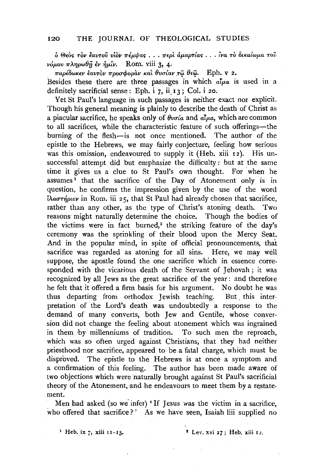#### 120 THE JOURNAL OF THEOLOGICAL STUDIES

o ®eo., *Tov* ~avTov *viov 7rEp.I/Ja'>* ••• 7rEpt *clp.apr{a<;* ... *i'va* To *OtKa{wp.a Tov*   $\nu \phi \mu \omega v \pi \lambda \eta \rho \omega \theta \hat{\eta}$  *iv*  $\eta \mu \hat{\nu}$ *.* Rom. viii 3, 4.

 $\pi a \rho \epsilon \delta \omega \kappa \epsilon \nu$   $\epsilon$  avrov  $\pi \rho \sigma \phi \rho \rho \alpha \nu$   $\kappa a \iota$   $\theta \nu \sigma (\alpha \nu \tau \hat{\omega}) \theta \epsilon \hat{\omega}$ . Eph. v 2. Besides these there are three passages in which *at<sub>t</sub>ua* is used in a definitely sacrificial sense: Eph. i 7, ii 13; Col. i 20.

Yet St Paul's language in such passages is neither exact nor explicit. Though his general meaning is plainly to describe the death of Christ as a piacular sacrifice, he speaks only of  $\theta v \sigma \alpha$  and  $a \mu a$ , which are common to all sacrifices, while the characteristic feature of such offerings-the burning of the flesh-is not once mentioned. The author of the epistle to the Hebrews, we may fairly conjecture, feeling how serious was this omission, endeavoured to supply it (Heb. xiii 12). His unsuccessful attempt did but emphasize the difficulty: but at the same time it gives us a clue to St Paul's own thought. For when he  $assumes<sup>1</sup> that the sacrifice of the Day of Atonement only is in$ question, he confirms the impression given by the use of the word  $i\lambda a\sigma\tau\eta\rho\omega\nu$  in Rom. iii 25, that St Paul had already chosen that sacrifice, rather than any other, as the type of Christ's atoning death. Two reasons might naturally determine the choice. Though the bodies of the victims were in fact burned,<sup>2</sup> the striking feature of the day's ceremony was the sprinkling of their blood upon the Mercy Seat. And in the popular mind, in spite of official pronouncements, that sacrifice was regarded as atoning for all sins. Here, we may well suppose, the apostle found the one sacrifice which in essence corresponded with the vicarious death of the Servant of Jehovah; it was recognized by all Jews as the great sacrifice of the year: and therefore he felt that it offered a firm basis for his argument. No doubt he was thus departing from orthodox Jewish teaching. But this interpretation of the Lord's death was undoubtedly a response to the demand of many converts, both Jew and Gentile, whose conversion did not change the feeling about atonement which was ingrained in them ·by millenniums of tradition. To such men the reproach, which was so often urged against Christians, that they had neither priesthood nor sacrifice, appeared to be a fatal charge, which must be disproved. The epistle to the Hebrews is at once a symptom and a confirmation of this feeling. The author has been made aware of two objections which were naturally brought against St Paul's sacrificial theory of the Atonement, and he endeavours to meet them by a restatement.

Men had asked (so we infer) 'If Jesus was the victim in a sacrifice, who offered that sacrifice?' As we have seen, Isaiah liii supplied no

<sup>1</sup> Heb. ix 7, xiii  $11 - 13$ . **I** Lev. xvi 27; Heb. xiii 12.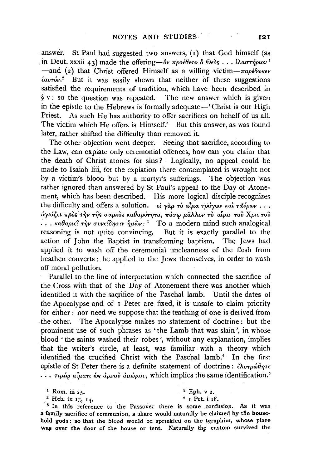answer. St Paul had suggested two answers,  $(i)$  that God himself (as in Deut. xxxii 43) made the offering- $\ddot{\delta}$   $\pi \rho \delta \dot{\theta}$ ero  $\dot{\delta}$  ® $\epsilon \dot{\delta}$ s ... i $\lambda a \sigma \tau \dot{\eta} \rho \omega \nu$ <sup>1</sup>  $-$ and (z) that Christ offered Himself as a willing victim $-\pi a\rho \epsilon \delta \omega \kappa \epsilon \nu$  $\frac{\partial^2 u}{\partial x^2}$  But it was easily shewn that neither of these suggestions satisfied the requirements of tradition, which have been described in  $§$  v : so the question was repeated. The new answer which is given in the epistle to the Hebrews is formally adequate—' Christ is our High Priest. As such He has authority to offer sacrifices on behalf of us all. As such He has authority to offer sacrifices on behalf of us all. The victim which He offers is Himself.' But this answer, as was found later, rather shifted the difficulty than removed it.

The other objection went deeper. Seeing that sacrifice, according to the Law, can expiate only ceremonial offences, how can you claim that the death of Christ atones for sins? Logically, no appeal could be made to Isaiah liii, for the expiation there contemplated is wrought not by a victim's blood but by a martyr's sufferings. The objection was rather ignored than answered by St Paul's appeal to the Day of Atonement, which has been described. His more logical disciple recognizes the difficulty and offers a solution.  $\epsilon i$  yàp tò aip.a tpáywv Kai Tdvpwv ...  $\dot{\alpha}$ γιάζει πρός την της σαρκός καθαρότητα, πόσω μ $\hat{a} \lambda \lambda$ ον το αίμα του Χριστου  $\ldots$  καθαριεί την συνείδησιν ήμων; <sup>3</sup> To a modern mind such analogical reasoning is not quite convincing. But it is exactly parallel to the action of John the Baptist in transforming baptism. The Jews had applied it to wash off the ceremonial uncleanness of the flesh from heathen converts: he applied to the Jews themselves, in order to wash off moral pollution.

Parallel to the line of interpretation which connected the sacrifice of the Cross with that of the Day of Atonement there was another which identified it with the sacrifice of the Paschal lamb. Until the dates of the Apocalypse arid of r Peter are fixed, it is unsafe to claim priority for either : nor need we suppose that the teaching of one is derived from the other. The Apocalypse makes no statement of doctrine: but the prominent use of such phrases as 'the Lamb that was slain', in whose blood 'the saints washed their robes', without any explanation, implies that the writer's circle, at least, was familiar with a theory which identified the crucified Christ with the Paschal lamb.• In the first epistle of St Peter there is a definite statement of doctrine:  $\partial \lambda v_T \rho \omega \theta_T \epsilon$  $\cdots$   $\tau$   $\mu$   $\omega$   $\alpha$   $\mu$   $\alpha$   $\tau$   $\omega$   $\alpha$   $\mu$   $\omega$   $\alpha$   $\mu$   $\omega$   $\omega$ , which implies the same identification.<sup>5</sup>

<sup>1</sup> Rom. iii 25.  $^{2}$  Eph. v 2.<br><sup>3</sup> Heb. ix 12. 14.  $^{4}$  1 Pet. i 18.

<sup>3</sup> Heb. ix 12, 14.

<sup>5</sup> In this reference to the Passover there is some confusion. As it was a family sacrifice of communion, a share would naturally be claimed by the household gods : so that the blood would be sprinkled on the teraphim, whose place was over the door of the house or tent. Naturally the custom survived the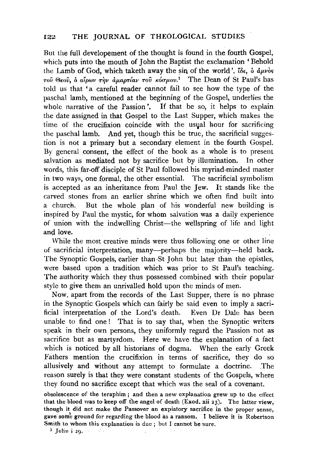But the full developement of the thought is found in the (ourth Gospel, which puts into the mouth of John the Baptist the exclamation ' Behold the Lamb of God, which taketh away the sin of the world',  $i\delta \epsilon$ ,  $\delta d\mu\nu\delta s$ τού Θεού, ο αίρων την αμαρτίαν του κόσμου.<sup>1</sup> The Dean of St Paul's has told us that 'a careful reader cannot fail to see how the type of the paschal lamb, mentioned at the beginning of the Gospel, underlies the whole narrative of the Passion'. If that be so, it helps to explain the date assigned in that Gospel to the Last Supper, which makes the time of the crucifixion coincide with the usval *hour* for sacrificing the paschal lamb. And yet, though this be true, the sacrificial suggestion is not a primary but a secondary element in the fourth Gospel. By general consent, the effect of the book as a whole is to present salvation as mediated not by sacrifice but by illumination. In other words, this far-off disciple of St Paul followed his myriad-minded master in two ways, one formal, the other essential. The sacrificial symbolism is accepted as an inheritance from Paul the Jew. It stands like the carved stones from an earlier shrine which we often find built into a church.. But the whole plan of his wonderful new building is inspired by Paul the mystic, for whom salvation was a daily experience of union with the indwelling Christ-the wellspring of life and light and love.

While the most creative minds were thus following one or other line of sacrificial interpretation, many--perhaps the majority-held back. The Synoptic Gospels, earlier than-St John but later than the epistles, were based upon a tradition which was prior to St Paul's teaching. The authority which they thus possessed combined with their popular style to give them an unrivalled hold upon the minds of men.

Now, apart from the records of the Last Supper, there is no phrase in the Synoptic Gospels which can fairly be said even to imply a sacrificial interpretation of the Lord's death. Even Dr Dale has been unable to find one ! That is to say that, when the Synoptic writers speak in their own persons, they uniformly regard the Passion not as sacrifice but as martyrdom. Here we have the explanation of a fact which is noticed by all historians of dogma. When the early Greek Fathers mention the crucifixion in terms of sacrifice, they do so allusively and without any attempt to formulate a doctrine. The reason surely is that they were constant students of the Gospels, where they found no sacrifice except that which was the seal of a covenant.

obsolescence of the teraphim; and then a new explanation grew up to the effect that the blood was to keep off the angel of death (Exod. xii  $23$ ). The latter view, though it did not make the Passover an expiatory sacrifice in the proper sense, gave some ground for regarding the blood as a ransom. I believe it is Robertson Smith to whom this explanation is due; but I cannot be sure.

<sup>1</sup> John i 29.  $\pm$   $\alpha$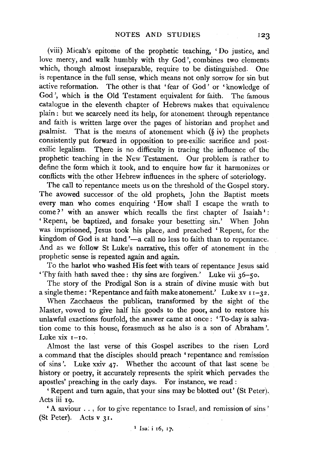(viii) Micah's epitome of the prophetic teaching, 'Do justice, and love mercy, and walk humbly with thy God', combines two elements which, though almost inseparable, require to be distinguished. One is repentance in the full sense, which means not only sorrow for sin but active reformation. The other is that 'fear of God' or 'knowledge of God', which is the Old Testament equivalent for faith. The famous God', which is the Old Testament equivalent for faith. catalogue in the eleventh chapter of Hebrews makes that equivalence plain: but we scarcely need its help, for atonement through repentance and faith is written large over the pages of historian and prophet and psalmist. That is the means of atonement which  $(\S$  iv) the prophets consistently put forward in opposition to pre-exilic sacrifice and postexilic legalism. There is no difficulty in tracing the influence of the prophetic teaching in the New Testament. Our problem is rather to define the form which it took, and to enquire how far it harmonizes or conflicts with the other Hebrew influences in the sphere of soteriology.

The call to repentance meets us on the threshold of the Gospel story. The avowed successor of the old prophets, John the Baptist meets every man who comes enquiring 'How shall I escape the wrath to come?' with an answer which recalls the first chapter of Isaiah 1: 'Repent, be baptized, and forsake your besetting sin.' When John was imprisoned, Jesus took his place, and preached 'Repent, for the kingdom of God is at hand '-a call no less to faith than to repentance. And as we follow St Luke's narrative, this offer of atonement in the prophetic sense is repeated again and again.

To the harlot who washed His feet with tears of repentance Jesus said 'Thy faith hath saved thee: thy sins are forgiven.' Luke vii 36-5o.

The story of the Prodigal Son is a strain of divine music with but a single theme: 'Repentance and faith make atonement.' Luke xv 1 r-32.

When Zacchaeus the publican, transformed by the sight of the Master, vowed to give half his goods to the poor, and to restore his unlawful exactions fourfold, the answer came at once: 'To-day is salvation come to this house, forasmuch as he also is a son of Abraham'. Luke xix r-ro.

Almost the last verse of this Gospel ascribes to the risen Lord a command that the disciples should preach 'repentance and remission of sins'. Luke xxiv 47· Whether the account of that last scene be history or poetry, it accurately represents the spirit which pervades the apostles' preaching in the early days. For instance, we read :

'Repent and turn again, that your sins may be blotted out' (St Peter). Acts iii 19.

'A saviour .. , for to give repentance to Israel, and remission of sins ' (St Peter). Acts v 31.

 $<sup>1</sup>$  Isa: i 16, 17.</sup>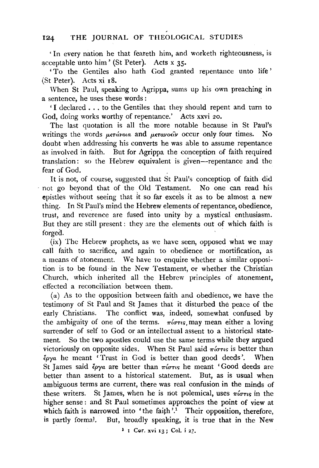## **124** THE JOURNAL OF THEOLOGICAL STUDIES

' In every nation he that feareth him, and worketh righteousness, is acceptable unto him' (St Peter). Acts x 35·

'To the Gentiles also bath God granted repentance unto life ' (St Peter). Acts xi 18.

When St Paul, speaking to Agrippa, sums up his own preaching in a sentence, he uses these words :

' I declared ... to the Gentiles that they should repent and turn to God, doing works worthy of repentance.' Acts xxvi 20.

The last quotation is all the more notable because in St Paul's writings the words  $\mu \epsilon \tau \acute{a}v$  or and  $\mu \epsilon \tau \acute{a}v$  occur only four times. No doubt when addressing his converts he was able to assume repentance as involved in faith. But for Agrippa the conception of faith required translation: so the Hebrew equivalent is given-repentance and the fear of God.

It is not, of course, suggested that St Paul's conceptiop. of faith did · not go beyond that of the Old Testament. No one can read his epistles without seeing that it so far excels it as to be almost a new thing. In St Paul's mind the Hebrew elements of repentance, obedience, trust, and reverence are fused into unity by a mystical enthusiasm. But they are still present : they are the elements out of which faith is forged. .

(ix) The Hebrew prophets, as we have seen, opposed what we may call faith to sacrifice, and again to obedience or mortification, as a means of atonement. We have to enquire whether a similar opposition is to be found in the New Testament, or whether the Christian Church, which inherited all the Hebrew principles of atonement, effected a reconciliation between them.

 $(a)$  As to the opposition between faith and obedience, we have the testimony of St Paul and St James that it disturbed the peace of the early Christians. The conflict was, indeed, somewhat confused by the ambiguity of one of the terms.  $\pi/\sigma\tau$ <sub>15</sub>, may mean either a loving surrender of self to God or an intellectual assent to a historical statement. So the two apostles could use the same terms while they argued victoriously on opposite sides. When St Paul said  $\pi/\sigma\tau$  is better than  $\zeta_{p\gamma\alpha}$  he meant 'Trust in God is better than good deeds'. When St James said  $\epsilon_{p\gamma\alpha}$  are better than  $\pi\omega\tau\iota s$  he meant 'Good deeds are better than assent to a historical statement. But, as is usual when ambiguous terms are current, there was real confusion in the minds of these writers. St James, when he is not polemical, uses  $\pi i \sigma \tau_i s$  in the higher sense : and St Paul sometimes approaches the point of view at which faith is narrowed into 'the faith'.<sup>1</sup> Their opposition, therefore, is partly formal. But, broadly speaking, it is true that in the New

 $1$  1 Cor. xvi 13; Col. i 22.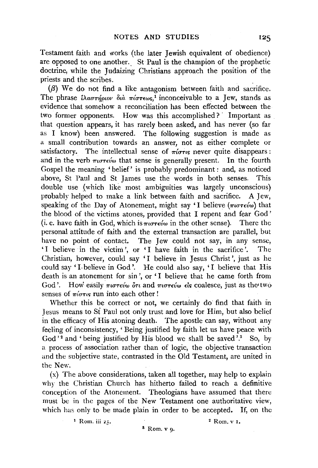Testament faith and works (the later Jewish equivalent of obedience) are opposed to one another. St Paul is the champion of the prophetic doctrine, while the Judaizing Christians approach the position of the priests and the scribes.

 $(\beta)$  We do not find a like antagonism between faith and sacrifice. The phrase *i* $\lambda a \sigma_T \gamma'_{\text{0LOV}}$   $\delta u \pi' \sigma_T \epsilon_{\text{00S}}$ <sup>1</sup> inconceivable to a Jew, stands as evidence that somehow a reconciliation has been effected between the two former opponents. How was this accomplished? Important as that question appears, it has rarely been asked, and has never (so far as I know) been answered. The following suggestion is made as a small contribution towards an answer, not as either complete or satisfactory. The intellectual sense of  $\pi/\sigma\tau$ <sub>is</sub> never quite disappears : and in the verb  $\pi \omega \tau \epsilon \omega \omega$  that sense is generally present. In the fourth Gospel the meaning 'belief' is probably predominant : and, as noticed above, St Paul and St James use the words in both senses. This double use (which like most ambiguities was largely unconscious) probably helped to make a link between faith and sacrifice. A Jew, speaking of the Day of Atonement, might say 'I believe  $(\pi \omega \tau \epsilon \omega)$  that the blood of the victims atones, provided that I repent and fear God ' (*i. e.* have faith in God, which is  $\pi i \sigma \tau \epsilon \psi \omega$  in the other sense). There the personal attitude of faith and the external transaction are parallel, but have no point of contact. The Jew could not say, in any sense, 'I believe in the victim', or 'I have faith in the sacrifice'. The Christian, however, could say 'I believe in Jesus Christ', just as he could say 'I- believe in God'. He could also say, 'I believe that His death is an atonement for sin', or 'I believe that he came forth from God'. How easily  $\pi \omega \tau \epsilon \psi \omega$  or and  $\pi \omega \tau \epsilon \psi \omega$   $\epsilon$  coalesce, just as the two senses of  $\pi/\sigma\tau$  *is* run into each other!

Whether this be correct or not, we certainly do find that faith in Jesus means to *Si* Paul not only trust and love for Him, but also belief in the efficacy of His atoning death. The apostle can say, without any feeling of inconsistency, ' Being justified by faith let us have peace with God<sup> $12$ </sup> and 'being justified by His blood we shall be saved'.<sup>3</sup> So, by a process of association rather than of logic, the objective transaction and the subjective state, contrasted in the Old Testament, are united in the New.

(x) The above considerations, taken all together, may help to explain why the Christian Church has hitherto failed to reach a definitive conception of the Atonement. Theologians have assumed that there must be in the pages of the New Testament one authoritative view, which has only to be made plain in order to be accepted. If, on the

<sup>1</sup>**Rom. iii** *25.* 2 Rom. v 1.

 $8$  Rom. v 9.